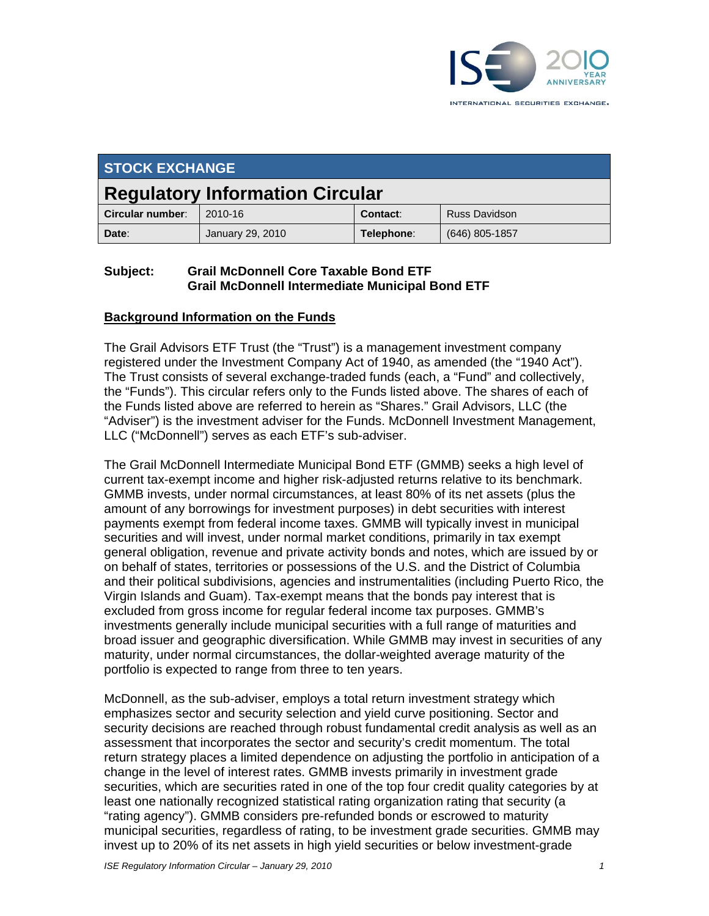

| <b>STOCK EXCHANGE</b>                  |                  |            |                      |  |
|----------------------------------------|------------------|------------|----------------------|--|
| <b>Regulatory Information Circular</b> |                  |            |                      |  |
| Circular number:                       | 2010-16          | Contact:   | <b>Russ Davidson</b> |  |
| Date:                                  | January 29, 2010 | Telephone: | $(646)$ 805-1857     |  |

## **Subject: Grail McDonnell Core Taxable Bond ETF Grail McDonnell Intermediate Municipal Bond ETF**

#### **Background Information on the Funds**

The Grail Advisors ETF Trust (the "Trust") is a management investment company registered under the Investment Company Act of 1940, as amended (the "1940 Act"). The Trust consists of several exchange-traded funds (each, a "Fund" and collectively, the "Funds"). This circular refers only to the Funds listed above. The shares of each of the Funds listed above are referred to herein as "Shares." Grail Advisors, LLC (the "Adviser") is the investment adviser for the Funds. McDonnell Investment Management, LLC ("McDonnell") serves as each ETF's sub-adviser.

The Grail McDonnell Intermediate Municipal Bond ETF (GMMB) seeks a high level of current tax-exempt income and higher risk-adjusted returns relative to its benchmark. GMMB invests, under normal circumstances, at least 80% of its net assets (plus the amount of any borrowings for investment purposes) in debt securities with interest payments exempt from federal income taxes. GMMB will typically invest in municipal securities and will invest, under normal market conditions, primarily in tax exempt general obligation, revenue and private activity bonds and notes, which are issued by or on behalf of states, territories or possessions of the U.S. and the District of Columbia and their political subdivisions, agencies and instrumentalities (including Puerto Rico, the Virgin Islands and Guam). Tax-exempt means that the bonds pay interest that is excluded from gross income for regular federal income tax purposes. GMMB's investments generally include municipal securities with a full range of maturities and broad issuer and geographic diversification. While GMMB may invest in securities of any maturity, under normal circumstances, the dollar-weighted average maturity of the portfolio is expected to range from three to ten years.

McDonnell, as the sub-adviser, employs a total return investment strategy which emphasizes sector and security selection and yield curve positioning. Sector and security decisions are reached through robust fundamental credit analysis as well as an assessment that incorporates the sector and security's credit momentum. The total return strategy places a limited dependence on adjusting the portfolio in anticipation of a change in the level of interest rates. GMMB invests primarily in investment grade securities, which are securities rated in one of the top four credit quality categories by at least one nationally recognized statistical rating organization rating that security (a "rating agency"). GMMB considers pre-refunded bonds or escrowed to maturity municipal securities, regardless of rating, to be investment grade securities. GMMB may invest up to 20% of its net assets in high yield securities or below investment-grade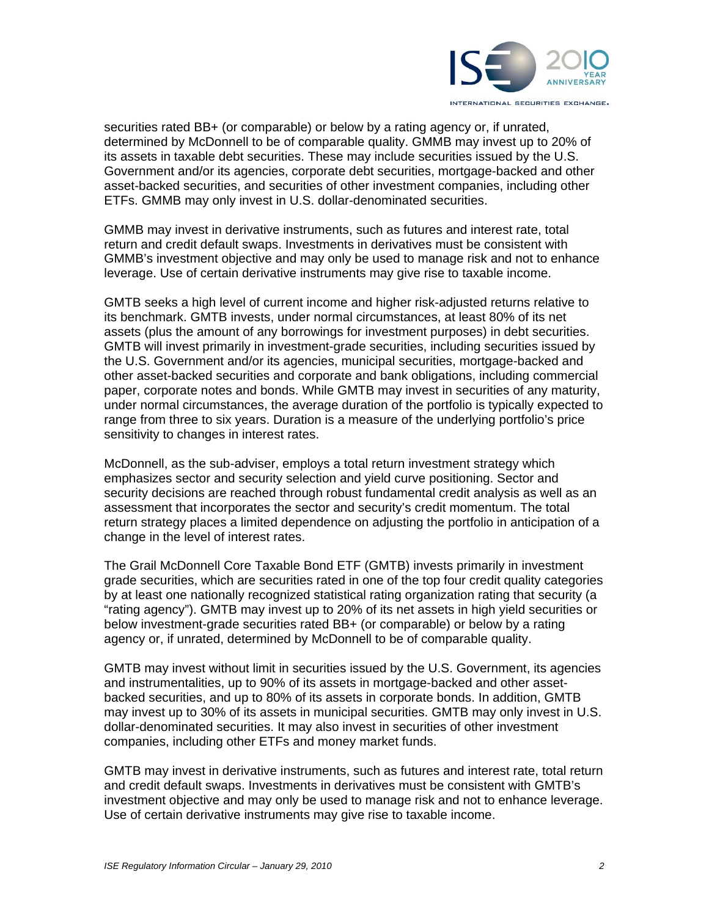

securities rated BB+ (or comparable) or below by a rating agency or, if unrated, determined by McDonnell to be of comparable quality. GMMB may invest up to 20% of its assets in taxable debt securities. These may include securities issued by the U.S. Government and/or its agencies, corporate debt securities, mortgage-backed and other asset-backed securities, and securities of other investment companies, including other ETFs. GMMB may only invest in U.S. dollar-denominated securities.

GMMB may invest in derivative instruments, such as futures and interest rate, total return and credit default swaps. Investments in derivatives must be consistent with GMMB's investment objective and may only be used to manage risk and not to enhance leverage. Use of certain derivative instruments may give rise to taxable income.

GMTB seeks a high level of current income and higher risk-adjusted returns relative to its benchmark. GMTB invests, under normal circumstances, at least 80% of its net assets (plus the amount of any borrowings for investment purposes) in debt securities. GMTB will invest primarily in investment-grade securities, including securities issued by the U.S. Government and/or its agencies, municipal securities, mortgage-backed and other asset-backed securities and corporate and bank obligations, including commercial paper, corporate notes and bonds. While GMTB may invest in securities of any maturity, under normal circumstances, the average duration of the portfolio is typically expected to range from three to six years. Duration is a measure of the underlying portfolio's price sensitivity to changes in interest rates.

McDonnell, as the sub-adviser, employs a total return investment strategy which emphasizes sector and security selection and yield curve positioning. Sector and security decisions are reached through robust fundamental credit analysis as well as an assessment that incorporates the sector and security's credit momentum. The total return strategy places a limited dependence on adjusting the portfolio in anticipation of a change in the level of interest rates.

The Grail McDonnell Core Taxable Bond ETF (GMTB) invests primarily in investment grade securities, which are securities rated in one of the top four credit quality categories by at least one nationally recognized statistical rating organization rating that security (a "rating agency"). GMTB may invest up to 20% of its net assets in high yield securities or below investment-grade securities rated BB+ (or comparable) or below by a rating agency or, if unrated, determined by McDonnell to be of comparable quality.

GMTB may invest without limit in securities issued by the U.S. Government, its agencies and instrumentalities, up to 90% of its assets in mortgage-backed and other assetbacked securities, and up to 80% of its assets in corporate bonds. In addition, GMTB may invest up to 30% of its assets in municipal securities. GMTB may only invest in U.S. dollar-denominated securities. It may also invest in securities of other investment companies, including other ETFs and money market funds.

GMTB may invest in derivative instruments, such as futures and interest rate, total return and credit default swaps. Investments in derivatives must be consistent with GMTB's investment objective and may only be used to manage risk and not to enhance leverage. Use of certain derivative instruments may give rise to taxable income.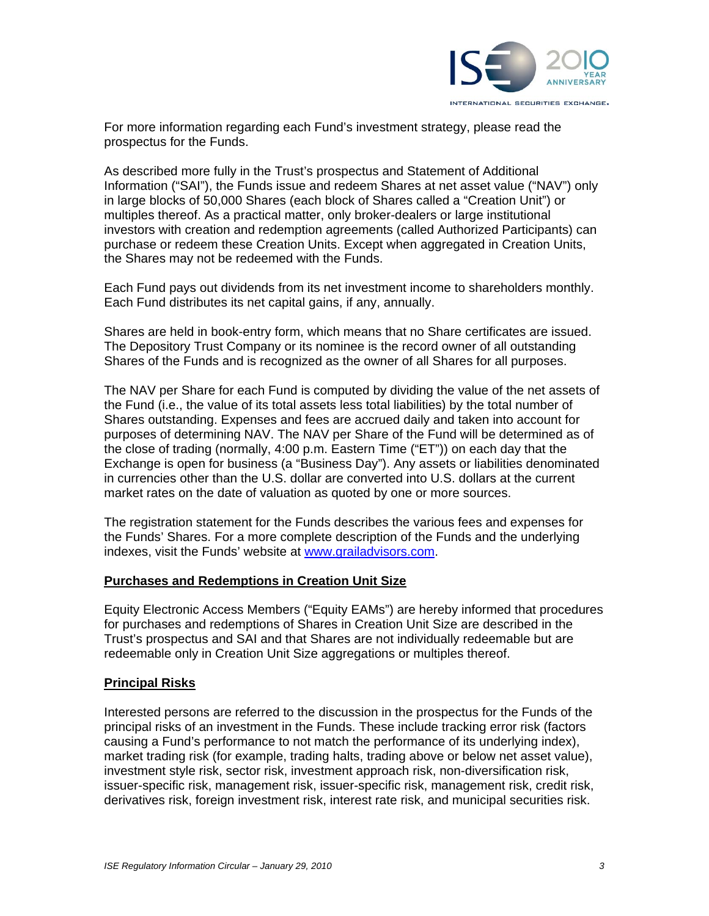

For more information regarding each Fund's investment strategy, please read the prospectus for the Funds.

As described more fully in the Trust's prospectus and Statement of Additional Information ("SAI"), the Funds issue and redeem Shares at net asset value ("NAV") only in large blocks of 50,000 Shares (each block of Shares called a "Creation Unit") or multiples thereof. As a practical matter, only broker-dealers or large institutional investors with creation and redemption agreements (called Authorized Participants) can purchase or redeem these Creation Units. Except when aggregated in Creation Units, the Shares may not be redeemed with the Funds.

Each Fund pays out dividends from its net investment income to shareholders monthly. Each Fund distributes its net capital gains, if any, annually.

Shares are held in book-entry form, which means that no Share certificates are issued. The Depository Trust Company or its nominee is the record owner of all outstanding Shares of the Funds and is recognized as the owner of all Shares for all purposes.

The NAV per Share for each Fund is computed by dividing the value of the net assets of the Fund (i.e., the value of its total assets less total liabilities) by the total number of Shares outstanding. Expenses and fees are accrued daily and taken into account for purposes of determining NAV. The NAV per Share of the Fund will be determined as of the close of trading (normally, 4:00 p.m. Eastern Time ("ET")) on each day that the Exchange is open for business (a "Business Day"). Any assets or liabilities denominated in currencies other than the U.S. dollar are converted into U.S. dollars at the current market rates on the date of valuation as quoted by one or more sources.

The registration statement for the Funds describes the various fees and expenses for the Funds' Shares. For a more complete description of the Funds and the underlying indexes, visit the Funds' website at www.grailadvisors.com.

#### **Purchases and Redemptions in Creation Unit Size**

Equity Electronic Access Members ("Equity EAMs") are hereby informed that procedures for purchases and redemptions of Shares in Creation Unit Size are described in the Trust's prospectus and SAI and that Shares are not individually redeemable but are redeemable only in Creation Unit Size aggregations or multiples thereof.

#### **Principal Risks**

Interested persons are referred to the discussion in the prospectus for the Funds of the principal risks of an investment in the Funds. These include tracking error risk (factors causing a Fund's performance to not match the performance of its underlying index), market trading risk (for example, trading halts, trading above or below net asset value), investment style risk, sector risk, investment approach risk, non-diversification risk, issuer-specific risk, management risk, issuer-specific risk, management risk, credit risk, derivatives risk, foreign investment risk, interest rate risk, and municipal securities risk.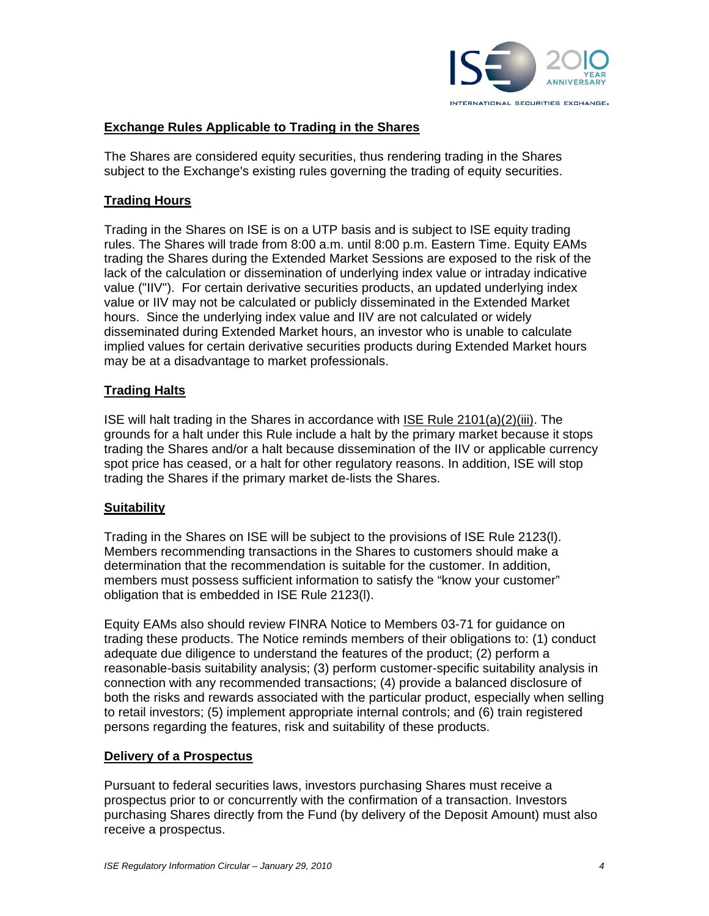

## **Exchange Rules Applicable to Trading in the Shares**

The Shares are considered equity securities, thus rendering trading in the Shares subject to the Exchange's existing rules governing the trading of equity securities.

## **Trading Hours**

Trading in the Shares on ISE is on a UTP basis and is subject to ISE equity trading rules. The Shares will trade from 8:00 a.m. until 8:00 p.m. Eastern Time. Equity EAMs trading the Shares during the Extended Market Sessions are exposed to the risk of the lack of the calculation or dissemination of underlying index value or intraday indicative value ("IIV"). For certain derivative securities products, an updated underlying index value or IIV may not be calculated or publicly disseminated in the Extended Market hours. Since the underlying index value and IIV are not calculated or widely disseminated during Extended Market hours, an investor who is unable to calculate implied values for certain derivative securities products during Extended Market hours may be at a disadvantage to market professionals.

# **Trading Halts**

ISE will halt trading in the Shares in accordance with ISE Rule 2101(a)(2)(iii). The grounds for a halt under this Rule include a halt by the primary market because it stops trading the Shares and/or a halt because dissemination of the IIV or applicable currency spot price has ceased, or a halt for other regulatory reasons. In addition, ISE will stop trading the Shares if the primary market de-lists the Shares.

## **Suitability**

Trading in the Shares on ISE will be subject to the provisions of ISE Rule 2123(l). Members recommending transactions in the Shares to customers should make a determination that the recommendation is suitable for the customer. In addition, members must possess sufficient information to satisfy the "know your customer" obligation that is embedded in ISE Rule 2123(l).

Equity EAMs also should review FINRA Notice to Members 03-71 for guidance on trading these products. The Notice reminds members of their obligations to: (1) conduct adequate due diligence to understand the features of the product; (2) perform a reasonable-basis suitability analysis; (3) perform customer-specific suitability analysis in connection with any recommended transactions; (4) provide a balanced disclosure of both the risks and rewards associated with the particular product, especially when selling to retail investors; (5) implement appropriate internal controls; and (6) train registered persons regarding the features, risk and suitability of these products.

## **Delivery of a Prospectus**

Pursuant to federal securities laws, investors purchasing Shares must receive a prospectus prior to or concurrently with the confirmation of a transaction. Investors purchasing Shares directly from the Fund (by delivery of the Deposit Amount) must also receive a prospectus.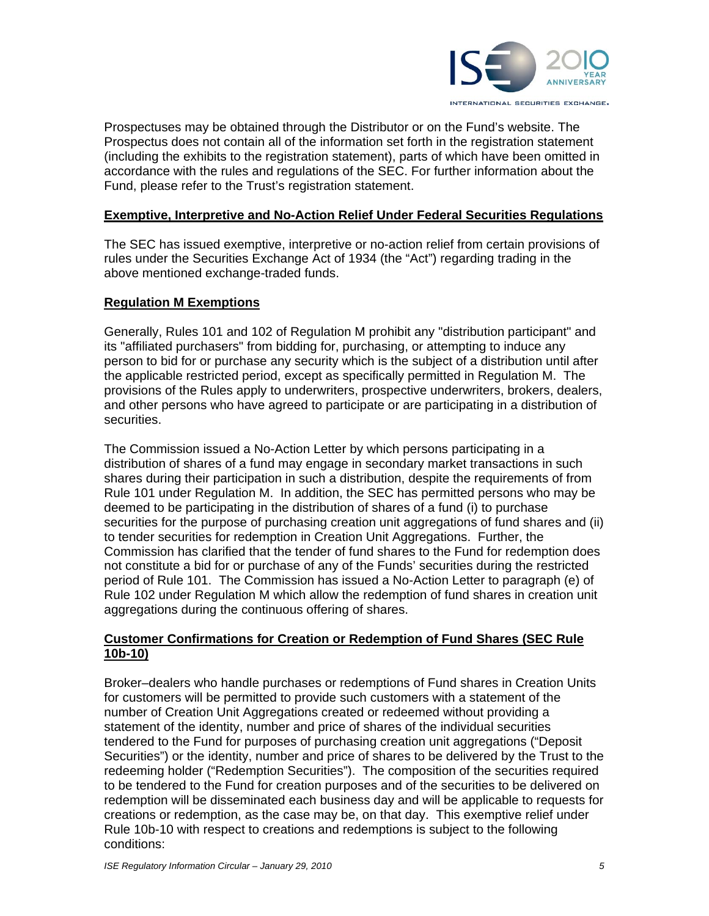

Prospectuses may be obtained through the Distributor or on the Fund's website. The Prospectus does not contain all of the information set forth in the registration statement (including the exhibits to the registration statement), parts of which have been omitted in accordance with the rules and regulations of the SEC. For further information about the Fund, please refer to the Trust's registration statement.

#### **Exemptive, Interpretive and No-Action Relief Under Federal Securities Regulations**

The SEC has issued exemptive, interpretive or no-action relief from certain provisions of rules under the Securities Exchange Act of 1934 (the "Act") regarding trading in the above mentioned exchange-traded funds.

#### **Regulation M Exemptions**

Generally, Rules 101 and 102 of Regulation M prohibit any "distribution participant" and its "affiliated purchasers" from bidding for, purchasing, or attempting to induce any person to bid for or purchase any security which is the subject of a distribution until after the applicable restricted period, except as specifically permitted in Regulation M. The provisions of the Rules apply to underwriters, prospective underwriters, brokers, dealers, and other persons who have agreed to participate or are participating in a distribution of securities.

The Commission issued a No-Action Letter by which persons participating in a distribution of shares of a fund may engage in secondary market transactions in such shares during their participation in such a distribution, despite the requirements of from Rule 101 under Regulation M. In addition, the SEC has permitted persons who may be deemed to be participating in the distribution of shares of a fund (i) to purchase securities for the purpose of purchasing creation unit aggregations of fund shares and (ii) to tender securities for redemption in Creation Unit Aggregations. Further, the Commission has clarified that the tender of fund shares to the Fund for redemption does not constitute a bid for or purchase of any of the Funds' securities during the restricted period of Rule 101. The Commission has issued a No-Action Letter to paragraph (e) of Rule 102 under Regulation M which allow the redemption of fund shares in creation unit aggregations during the continuous offering of shares.

# **Customer Confirmations for Creation or Redemption of Fund Shares (SEC Rule 10b-10)**

Broker–dealers who handle purchases or redemptions of Fund shares in Creation Units for customers will be permitted to provide such customers with a statement of the number of Creation Unit Aggregations created or redeemed without providing a statement of the identity, number and price of shares of the individual securities tendered to the Fund for purposes of purchasing creation unit aggregations ("Deposit Securities") or the identity, number and price of shares to be delivered by the Trust to the redeeming holder ("Redemption Securities"). The composition of the securities required to be tendered to the Fund for creation purposes and of the securities to be delivered on redemption will be disseminated each business day and will be applicable to requests for creations or redemption, as the case may be, on that day. This exemptive relief under Rule 10b-10 with respect to creations and redemptions is subject to the following conditions: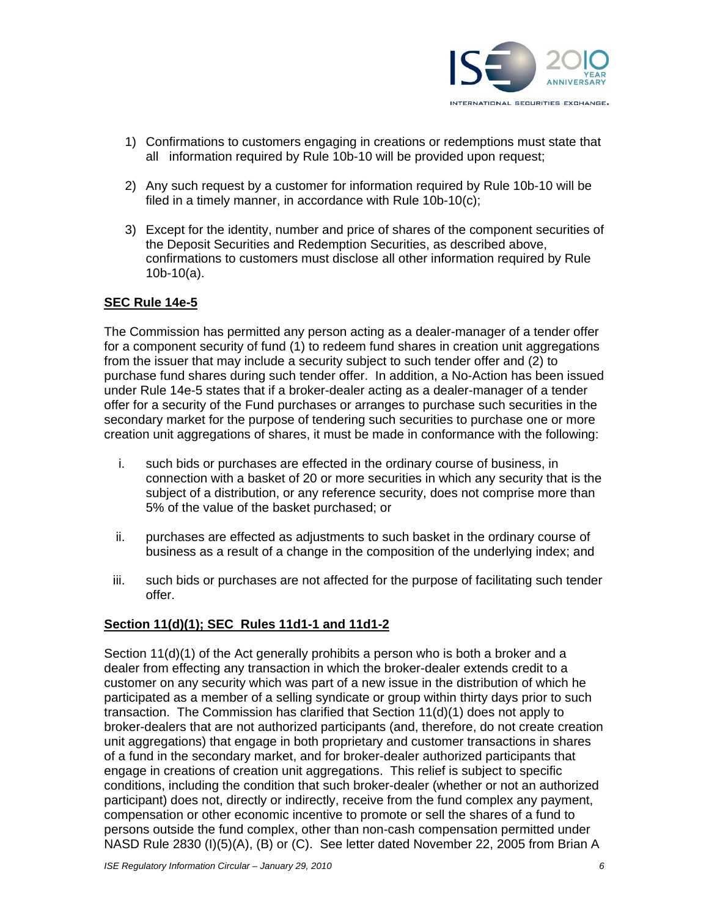

- 1) Confirmations to customers engaging in creations or redemptions must state that all information required by Rule 10b-10 will be provided upon request;
- 2) Any such request by a customer for information required by Rule 10b-10 will be filed in a timely manner, in accordance with Rule 10b-10(c);
- 3) Except for the identity, number and price of shares of the component securities of the Deposit Securities and Redemption Securities, as described above, confirmations to customers must disclose all other information required by Rule 10b-10(a).

## **SEC Rule 14e-5**

The Commission has permitted any person acting as a dealer-manager of a tender offer for a component security of fund (1) to redeem fund shares in creation unit aggregations from the issuer that may include a security subject to such tender offer and (2) to purchase fund shares during such tender offer. In addition, a No-Action has been issued under Rule 14e-5 states that if a broker-dealer acting as a dealer-manager of a tender offer for a security of the Fund purchases or arranges to purchase such securities in the secondary market for the purpose of tendering such securities to purchase one or more creation unit aggregations of shares, it must be made in conformance with the following:

- i. such bids or purchases are effected in the ordinary course of business, in connection with a basket of 20 or more securities in which any security that is the subject of a distribution, or any reference security, does not comprise more than 5% of the value of the basket purchased; or
- ii. purchases are effected as adjustments to such basket in the ordinary course of business as a result of a change in the composition of the underlying index; and
- iii. such bids or purchases are not affected for the purpose of facilitating such tender offer.

## **Section 11(d)(1); SEC Rules 11d1-1 and 11d1-2**

Section 11(d)(1) of the Act generally prohibits a person who is both a broker and a dealer from effecting any transaction in which the broker-dealer extends credit to a customer on any security which was part of a new issue in the distribution of which he participated as a member of a selling syndicate or group within thirty days prior to such transaction. The Commission has clarified that Section 11(d)(1) does not apply to broker-dealers that are not authorized participants (and, therefore, do not create creation unit aggregations) that engage in both proprietary and customer transactions in shares of a fund in the secondary market, and for broker-dealer authorized participants that engage in creations of creation unit aggregations. This relief is subject to specific conditions, including the condition that such broker-dealer (whether or not an authorized participant) does not, directly or indirectly, receive from the fund complex any payment, compensation or other economic incentive to promote or sell the shares of a fund to persons outside the fund complex, other than non-cash compensation permitted under NASD Rule 2830 (I)(5)(A), (B) or (C). See letter dated November 22, 2005 from Brian A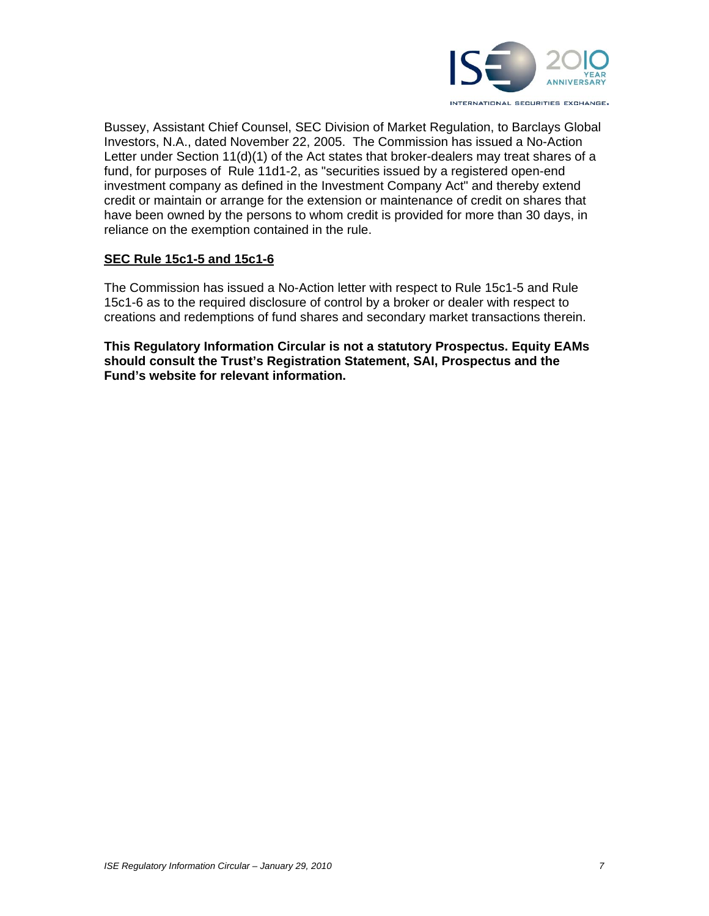

Bussey, Assistant Chief Counsel, SEC Division of Market Regulation, to Barclays Global Investors, N.A., dated November 22, 2005. The Commission has issued a No-Action Letter under Section 11(d)(1) of the Act states that broker-dealers may treat shares of a fund, for purposes of Rule 11d1-2, as "securities issued by a registered open-end investment company as defined in the Investment Company Act" and thereby extend credit or maintain or arrange for the extension or maintenance of credit on shares that have been owned by the persons to whom credit is provided for more than 30 days, in reliance on the exemption contained in the rule.

## **SEC Rule 15c1-5 and 15c1-6**

The Commission has issued a No-Action letter with respect to Rule 15c1-5 and Rule 15c1-6 as to the required disclosure of control by a broker or dealer with respect to creations and redemptions of fund shares and secondary market transactions therein.

**This Regulatory Information Circular is not a statutory Prospectus. Equity EAMs should consult the Trust's Registration Statement, SAI, Prospectus and the Fund's website for relevant information.**